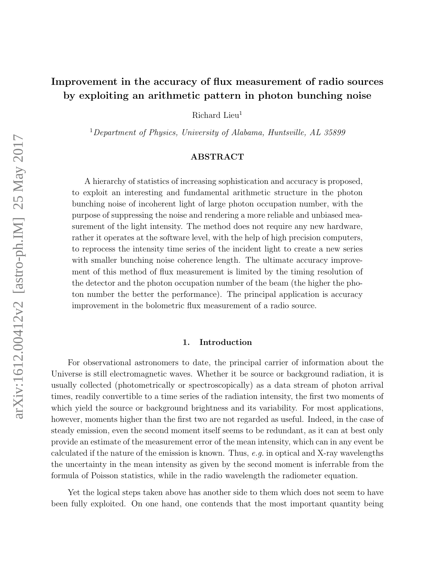# Improvement in the accuracy of flux measurement of radio sources by exploiting an arithmetic pattern in photon bunching noise

Richard Lieu<sup>1</sup>

<sup>1</sup>Department of Physics, University of Alabama, Huntsville, AL 35899

## ABSTRACT

A hierarchy of statistics of increasing sophistication and accuracy is proposed, to exploit an interesting and fundamental arithmetic structure in the photon bunching noise of incoherent light of large photon occupation number, with the purpose of suppressing the noise and rendering a more reliable and unbiased measurement of the light intensity. The method does not require any new hardware, rather it operates at the software level, with the help of high precision computers, to reprocess the intensity time series of the incident light to create a new series with smaller bunching noise coherence length. The ultimate accuracy improvement of this method of flux measurement is limited by the timing resolution of the detector and the photon occupation number of the beam (the higher the photon number the better the performance). The principal application is accuracy improvement in the bolometric flux measurement of a radio source.

#### 1. Introduction

For observational astronomers to date, the principal carrier of information about the Universe is still electromagnetic waves. Whether it be source or background radiation, it is usually collected (photometrically or spectroscopically) as a data stream of photon arrival times, readily convertible to a time series of the radiation intensity, the first two moments of which yield the source or background brightness and its variability. For most applications, however, moments higher than the first two are not regarded as useful. Indeed, in the case of steady emission, even the second moment itself seems to be redundant, as it can at best only provide an estimate of the measurement error of the mean intensity, which can in any event be calculated if the nature of the emission is known. Thus,  $e.g.$  in optical and X-ray wavelengths the uncertainty in the mean intensity as given by the second moment is inferrable from the formula of Poisson statistics, while in the radio wavelength the radiometer equation.

Yet the logical steps taken above has another side to them which does not seem to have been fully exploited. On one hand, one contends that the most important quantity being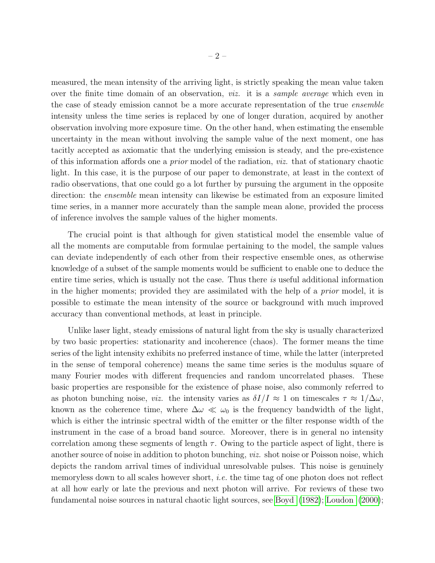measured, the mean intensity of the arriving light, is strictly speaking the mean value taken over the finite time domain of an observation, *viz.* it is a *sample average* which even in the case of steady emission cannot be a more accurate representation of the true ensemble intensity unless the time series is replaced by one of longer duration, acquired by another observation involving more exposure time. On the other hand, when estimating the ensemble uncertainty in the mean without involving the sample value of the next moment, one has tacitly accepted as axiomatic that the underlying emission is steady, and the pre-existence of this information affords one a prior model of the radiation, viz. that of stationary chaotic light. In this case, it is the purpose of our paper to demonstrate, at least in the context of radio observations, that one could go a lot further by pursuing the argument in the opposite direction: the ensemble mean intensity can likewise be estimated from an exposure limited time series, in a manner more accurately than the sample mean alone, provided the process of inference involves the sample values of the higher moments.

The crucial point is that although for given statistical model the ensemble value of all the moments are computable from formulae pertaining to the model, the sample values can deviate independently of each other from their respective ensemble ones, as otherwise knowledge of a subset of the sample moments would be sufficient to enable one to deduce the entire time series, which is usually not the case. Thus there is useful additional information in the higher moments; provided they are assimilated with the help of a *prior* model, it is possible to estimate the mean intensity of the source or background with much improved accuracy than conventional methods, at least in principle.

Unlike laser light, steady emissions of natural light from the sky is usually characterized by two basic properties: stationarity and incoherence (chaos). The former means the time series of the light intensity exhibits no preferred instance of time, while the latter (interpreted in the sense of temporal coherence) means the same time series is the modulus square of many Fourier modes with different frequencies and random uncorrelated phases. These basic properties are responsible for the existence of phase noise, also commonly referred to as photon bunching noise, *viz.* the intensity varies as  $\delta I/I \approx 1$  on timescales  $\tau \approx 1/\Delta \omega$ , known as the coherence time, where  $\Delta\omega \ll \omega_0$  is the frequency bandwidth of the light, which is either the intrinsic spectral width of the emitter or the filter response width of the instrument in the case of a broad band source. Moreover, there is in general no intensity correlation among these segments of length  $\tau$ . Owing to the particle aspect of light, there is another source of noise in addition to photon bunching, *viz.* shot noise or Poisson noise, which depicts the random arrival times of individual unresolvable pulses. This noise is genuinely memoryless down to all scales however short, i.e. the time tag of one photon does not reflect at all how early or late the previous and next photon will arrive. For reviews of these two fundamental noise sources in natural chaotic light sources, see [Boyd](#page-14-0) [\(1982\)](#page-14-0); [Loudon](#page-14-1) [\(2000\)](#page-14-1);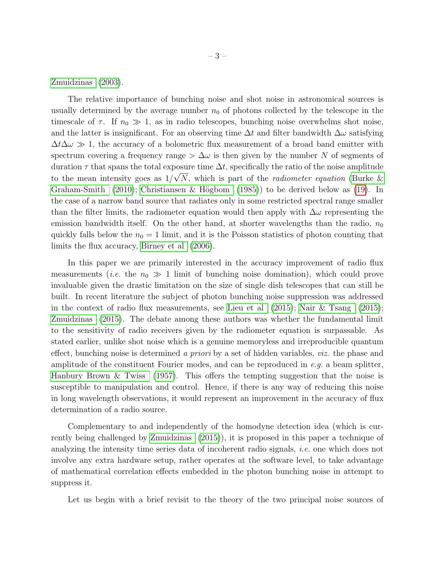[Zmuidzinas](#page-14-2) [\(2003\)](#page-14-2).

The relative importance of bunching noise and shot noise in astronomical sources is usually determined by the average number  $n_0$  of photons collected by the telescope in the timescale of  $\tau$ . If  $n_0 \gg 1$ , as in radio telescopes, bunching noise overwhelms shot noise, and the latter is insignificant. For an observing time  $\Delta t$  and filter bandwidth  $\Delta \omega$  satisfying  $\Delta t \Delta \omega \gg 1$ , the accuracy of a bolometric flux measurement of a broad band emitter with spectrum covering a frequency range  $\geq \Delta \omega$  is then given by the number N of segments of duration  $\tau$  that spans the total exposure time  $\Delta t$ , specifically the ratio of the noise amplitude to the mean intensity goes as  $1/\sqrt{N}$ , which is part of the *radiometer equation* [\(Burke &](#page-14-3) [Graham-Smith](#page-14-3) [\(2010\)](#page-14-3); Christiansen & Högbom [\(1985\)](#page-14-4)) to be derived below as [\(19\)](#page-5-0). In the case of a narrow band source that radiates only in some restricted spectral range smaller than the filter limits, the radiometer equation would then apply with  $\Delta\omega$  representing the emission bandwidth itself. On the other hand, at shorter wavelengths than the radio,  $n_0$ quickly falls below the  $n_0 = 1$  limit, and it is the Poisson statistics of photon counting that limits the flux accuracy, [Birney et al](#page-14-5) [\(2006\)](#page-14-5).

In this paper we are primarily interested in the accuracy improvement of radio flux measurements (*i.e.* the  $n_0 \gg 1$  limit of bunching noise domination), which could prove invaluable given the drastic limitation on the size of single dish telescopes that can still be built. In recent literature the subject of photon bunching noise suppression was addressed in the context of radio flux measurements, see [Lieu et al](#page-14-6) [\(2015\)](#page-14-6); [Nair & Tsang](#page-14-7) [\(2015\)](#page-14-7); [Zmuidzinas](#page-14-8) [\(2015\)](#page-14-8). The debate among these authors was whether the fundamental limit to the sensitivity of radio receivers given by the radiometer equation is surpassable. As stated earlier, unlike shot noise which is a genuine memoryless and irreproducible quantum effect, bunching noise is determined a priori by a set of hidden variables, *viz*. the phase and amplitude of the constituent Fourier modes, and can be reproduced in  $e.g.$  a beam splitter, [Hanbury Brown & Twiss](#page-14-9) [\(1957\)](#page-14-9). This offers the tempting suggestion that the noise is susceptible to manipulation and control. Hence, if there is any way of reducing this noise in long wavelength observations, it would represent an improvement in the accuracy of flux determination of a radio source.

Complementary to and independently of the homodyne detection idea (which is currently being challenged by [Zmuidzinas](#page-14-8) [\(2015\)](#page-14-8)), it is proposed in this paper a technique of analyzing the intensity time series data of incoherent radio signals, i.e. one which does not involve any extra hardware setup, rather operates at the software level, to take advantage of mathematical correlation effects embedded in the photon bunching noise in attempt to suppress it.

Let us begin with a brief revisit to the theory of the two principal noise sources of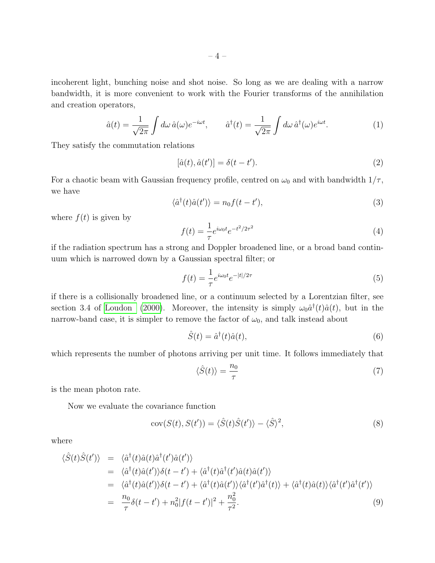incoherent light, bunching noise and shot noise. So long as we are dealing with a narrow bandwidth, it is more convenient to work with the Fourier transforms of the annihilation and creation operators,

$$
\hat{a}(t) = \frac{1}{\sqrt{2\pi}} \int d\omega \, \hat{a}(\omega) e^{-i\omega t}, \qquad \hat{a}^{\dagger}(t) = \frac{1}{\sqrt{2\pi}} \int d\omega \, \hat{a}^{\dagger}(\omega) e^{i\omega t}.
$$
 (1)

They satisfy the commutation relations

<span id="page-3-5"></span>
$$
[\hat{a}(t), \hat{a}(t')] = \delta(t - t'). \tag{2}
$$

For a chaotic beam with Gaussian frequency profile, centred on  $\omega_0$  and with bandwidth  $1/\tau$ , we have

<span id="page-3-6"></span>
$$
\langle \hat{a}^{\dagger}(t)\hat{a}(t')\rangle = n_0 f(t - t'),\tag{3}
$$

where  $f(t)$  is given by

<span id="page-3-0"></span>
$$
f(t) = \frac{1}{\tau} e^{i\omega_0 t} e^{-t^2/2\tau^2}
$$
 (4)

if the radiation spectrum has a strong and Doppler broadened line, or a broad band continuum which is narrowed down by a Gaussian spectral filter; or

<span id="page-3-1"></span>
$$
f(t) = \frac{1}{\tau} e^{i\omega_0 t} e^{-|t|/2\tau}
$$
\n<sup>(5)</sup>

if there is a collisionally broadened line, or a continuum selected by a Lorentzian filter, see section 3.4 of [Loudon](#page-14-1) [\(2000\)](#page-14-1). Moreover, the intensity is simply  $\omega_0 \hat{a}^\dagger(t) \hat{a}(t)$ , but in the narrow-band case, it is simpler to remove the factor of  $\omega_0$ , and talk instead about

$$
\hat{S}(t) = \hat{a}^{\dagger}(t)\hat{a}(t),\tag{6}
$$

which represents the number of photons arriving per unit time. It follows immediately that

<span id="page-3-4"></span>
$$
\langle \hat{S}(t) \rangle = \frac{n_0}{\tau} \tag{7}
$$

is the mean photon rate.

Now we evaluate the covariance function

<span id="page-3-2"></span>
$$
cov(S(t), S(t')) = \langle \hat{S}(t)\hat{S}(t')\rangle - \langle \hat{S}\rangle^2,
$$
\n(8)

where

<span id="page-3-3"></span>
$$
\langle \hat{S}(t)\hat{S}(t') \rangle = \langle \hat{a}^{\dagger}(t)\hat{a}(t)\hat{a}^{\dagger}(t')\hat{a}(t') \rangle \n= \langle \hat{a}^{\dagger}(t)\hat{a}(t') \rangle \delta(t-t') + \langle \hat{a}^{\dagger}(t)\hat{a}^{\dagger}(t')\hat{a}(t)\hat{a}(t') \rangle \n= \langle \hat{a}^{\dagger}(t)\hat{a}(t') \rangle \delta(t-t') + \langle \hat{a}^{\dagger}(t)\hat{a}(t') \rangle \langle \hat{a}^{\dagger}(t')\hat{a}^{\dagger}(t) \rangle + \langle \hat{a}^{\dagger}(t)\hat{a}(t) \rangle \langle \hat{a}^{\dagger}(t')\hat{a}^{\dagger}(t') \rangle \n= \frac{n_0}{\tau} \delta(t-t') + n_0^2 |f(t-t')|^2 + \frac{n_0^2}{\tau^2}.
$$
\n(9)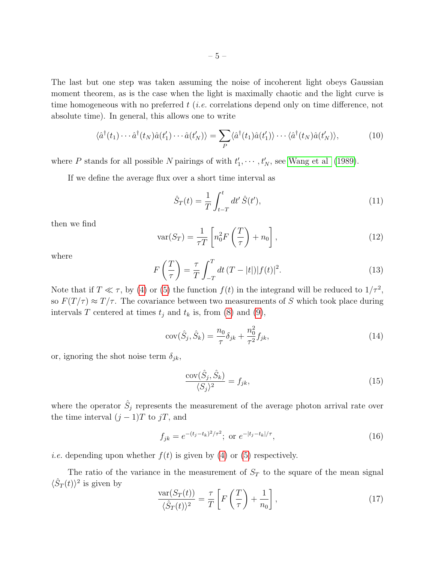The last but one step was taken assuming the noise of incoherent light obeys Gaussian moment theorem, as is the case when the light is maximally chaotic and the light curve is time homogeneous with no preferred  $t$  (*i.e.* correlations depend only on time difference, not absolute time). In general, this allows one to write

<span id="page-4-2"></span>
$$
\langle \hat{a}^{\dagger}(t_1) \cdots \hat{a}^{\dagger}(t_N) \hat{a}(t'_1) \cdots \hat{a}(t'_N) \rangle = \sum_P \langle \hat{a}^{\dagger}(t_1) \hat{a}(t'_1) \rangle \cdots \langle \hat{a}^{\dagger}(t_N) \hat{a}(t'_N) \rangle, \tag{10}
$$

where P stands for all possible N pairings of with  $t'_1, \dots, t'_N$ , see [Wang et al](#page-14-10) [\(1989\)](#page-14-10).

If we define the average flux over a short time interval as

<span id="page-4-1"></span>
$$
\hat{S}_T(t) = \frac{1}{T} \int_{t-T}^t dt' \,\hat{S}(t'),\tag{11}
$$

then we find

$$
\text{var}(S_T) = \frac{1}{\tau T} \left[ n_0^2 F\left(\frac{T}{\tau}\right) + n_0 \right],\tag{12}
$$

where

$$
F\left(\frac{T}{\tau}\right) = \frac{\tau}{T} \int_{-T}^{T} dt \left(T - |t|\right) |f(t)|^2.
$$
\n(13)

Note that if  $T \ll \tau$ , by [\(4\)](#page-3-0) or [\(5\)](#page-3-1) the function  $f(t)$  in the integrand will be reduced to  $1/\tau^2$ , so  $F(T/\tau) \approx T/\tau$ . The covariance between two measurements of S which took place during intervals T centered at times  $t_j$  and  $t_k$  is, from [\(8\)](#page-3-2) and [\(9\)](#page-3-3),

$$
cov(\hat{S}_j, \hat{S}_k) = \frac{n_0}{\tau} \delta_{jk} + \frac{n_0^2}{\tau^2} f_{jk},
$$
\n(14)

or, ignoring the shot noise term  $\delta_{jk}$ ,

<span id="page-4-0"></span>
$$
\frac{\text{cov}(\hat{S}_j, \hat{S}_k)}{\langle S_j \rangle^2} = f_{jk},\tag{15}
$$

where the operator  $\hat{S}_j$  represents the measurement of the average photon arrival rate over the time interval  $(j-1)T$  to  $jT$ , and

<span id="page-4-3"></span>
$$
f_{jk} = e^{-(t_j - t_k)^2 / \tau^2}; \text{ or } e^{-|t_j - t_k| / \tau}, \qquad (16)
$$

*i.e.* depending upon whether  $f(t)$  is given by [\(4\)](#page-3-0) or [\(5\)](#page-3-1) respectively.

The ratio of the variance in the measurement of  $S_T$  to the square of the mean signal  $\langle \hat{S}_T(t) \rangle^2$  is given by

$$
\frac{\text{var}(S_T(t))}{\langle \hat{S}_T(t) \rangle^2} = \frac{\tau}{T} \left[ F\left(\frac{T}{\tau}\right) + \frac{1}{n_0} \right],\tag{17}
$$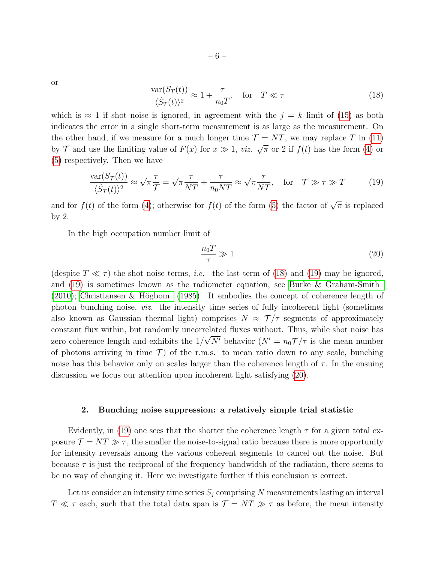or

<span id="page-5-1"></span>
$$
\frac{\text{var}(S_T(t))}{\langle \hat{S}_T(t) \rangle^2} \approx 1 + \frac{\tau}{n_0 T}, \quad \text{for} \quad T \ll \tau
$$
\n(18)

which is  $\approx 1$  if shot noise is ignored, in agreement with the  $j = k$  limit of [\(15\)](#page-4-0) as both indicates the error in a single short-term measurement is as large as the measurement. On the other hand, if we measure for a much longer time  $\mathcal{T} = NT$ , we may replace T in [\(11\)](#page-4-1) by T and use the limiting value of  $F(x)$  for  $x \gg 1$ , *viz.*  $\sqrt{\pi}$  or 2 if  $f(t)$  has the form [\(4\)](#page-3-0) or [\(5\)](#page-3-1) respectively. Then we have

<span id="page-5-0"></span>
$$
\frac{\text{var}(S_{\mathcal{T}}(t))}{\langle \hat{S}_{\mathcal{T}}(t) \rangle^2} \approx \sqrt{\pi} \frac{\tau}{\mathcal{T}} = \sqrt{\pi} \frac{\tau}{NT} + \frac{\tau}{n_0 NT} \approx \sqrt{\pi} \frac{\tau}{NT}, \quad \text{for} \quad \mathcal{T} \gg \tau \gg T \tag{19}
$$

and for  $f(t)$  of the form [\(4\)](#page-3-0); otherwise for  $f(t)$  of the form [\(5\)](#page-3-1) the factor of  $\sqrt{\pi}$  is replaced by 2.

In the high occupation number limit of

<span id="page-5-2"></span>
$$
\frac{n_0 T}{\tau} \gg 1\tag{20}
$$

(despite  $T \ll \tau$ ) the shot noise terms, *i.e.* the last term of [\(18\)](#page-5-1) and [\(19\)](#page-5-0) may be ignored, and [\(19\)](#page-5-0) is sometimes known as the radiometer equation, see [Burke & Graham-Smith](#page-14-3)  $(2010)$ ; Christiansen & Högbom  $(1985)$ . It embodies the concept of coherence length of photon bunching noise, viz. the intensity time series of fully incoherent light (sometimes also known as Gaussian thermal light) comprises  $N \approx \mathcal{T}/\tau$  segments of approximately constant flux within, but randomly uncorrelated fluxes without. Thus, while shot noise has zero coherence length and exhibits the  $1/\sqrt{N'}$  behavior  $(N' = n_0 \mathcal{T}/\tau)$  is the mean number of photons arriving in time  $\mathcal{T}$  of the r.m.s. to mean ratio down to any scale, bunching noise has this behavior only on scales larger than the coherence length of  $\tau$ . In the ensuing discussion we focus our attention upon incoherent light satisfying [\(20\)](#page-5-2).

#### 2. Bunching noise suppression: a relatively simple trial statistic

Evidently, in [\(19\)](#page-5-0) one sees that the shorter the coherence length  $\tau$  for a given total exposure  $\mathcal{T} = NT \gg \tau$ , the smaller the noise-to-signal ratio because there is more opportunity for intensity reversals among the various coherent segments to cancel out the noise. But because  $\tau$  is just the reciprocal of the frequency bandwidth of the radiation, there seems to be no way of changing it. Here we investigate further if this conclusion is correct.

Let us consider an intensity time series  $S_j$  comprising N measurements lasting an interval  $T \ll \tau$  each, such that the total data span is  $\mathcal{T} = NT \gg \tau$  as before, the mean intensity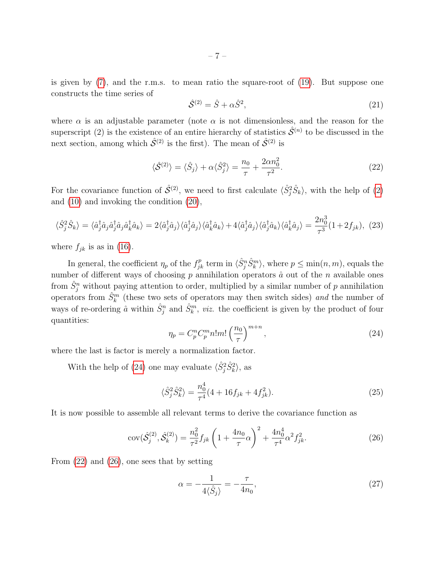is given by [\(7\)](#page-3-4), and the r.m.s. to mean ratio the square-root of [\(19\)](#page-5-0). But suppose one constructs the time series of

$$
\hat{\mathcal{S}}^{(2)} = \hat{S} + \alpha \hat{S}^2,\tag{21}
$$

where  $\alpha$  is an adjustable parameter (note  $\alpha$  is not dimensionless, and the reason for the superscript (2) is the existence of an entire hierarchy of statistics  $\hat{\mathcal{S}}^{(n)}$  to be discussed in the next section, among which  $\hat{\mathcal{S}}^{(2)}$  is the first). The mean of  $\hat{\mathcal{S}}^{(2)}$  is

<span id="page-6-1"></span>
$$
\langle \hat{\mathcal{S}}^{(2)} \rangle = \langle \hat{S}_j \rangle + \alpha \langle \hat{S}_j^2 \rangle = \frac{n_0}{\tau} + \frac{2\alpha n_0^2}{\tau^2}.
$$
 (22)

For the covariance function of  $\hat{S}^{(2)}$  $\hat{S}^{(2)}$  $\hat{S}^{(2)}$ , we need to first calculate  $\langle \hat{S}_j^2 \hat{S}_k \rangle$ , with the help of (2) and [\(10\)](#page-4-2) and invoking the condition [\(20\)](#page-5-2),

<span id="page-6-5"></span>
$$
\langle \hat{S}_j^2 \hat{S}_k \rangle = \langle \hat{a}_j^{\dagger} \hat{a}_j \hat{a}_j^{\dagger} \hat{a}_j \hat{a}_k^{\dagger} \hat{a}_k \rangle = 2 \langle \hat{a}_j^{\dagger} \hat{a}_j \rangle \langle \hat{a}_j^{\dagger} \hat{a}_j \rangle \langle \hat{a}_k^{\dagger} \hat{a}_k \rangle + 4 \langle \hat{a}_j^{\dagger} \hat{a}_j \rangle \langle \hat{a}_j^{\dagger} \hat{a}_k \rangle \langle \hat{a}_k^{\dagger} \hat{a}_j \rangle = \frac{2n_0^3}{\tau^3} (1 + 2f_{jk}), \tag{23}
$$

where  $f_{jk}$  is as in [\(16\)](#page-4-3).

In general, the coefficient  $\eta_p$  of the  $f_{jk}^p$  term in  $\langle \hat{S}_j^n \hat{S}_k^m \rangle$ , where  $p \le \min(n, m)$ , equals the number of different ways of choosing  $p$  annihilation operators  $\hat{a}$  out of the  $n$  available ones from  $\hat{S}_j^n$  without paying attention to order, multiplied by a similar number of p annihilation operators from  $\hat{S}_k^m$  (these two sets of operators may then switch sides) and the number of ways of re-ordering  $\hat{a}$  within  $\hat{S}^n_j$  and  $\hat{S}^m_k$ , viz. the coefficient is given by the product of four quantities:

<span id="page-6-0"></span>
$$
\eta_p = C_p^n C_p^m n! m! \left(\frac{n_0}{\tau}\right)^{m+n},\tag{24}
$$

where the last is factor is merely a normalization factor.

With the help of [\(24\)](#page-6-0) one may evaluate  $\langle \hat{S}_j^2 \hat{S}_k^2 \rangle$ , as

<span id="page-6-3"></span>
$$
\langle \hat{S}_j^2 \hat{S}_k^2 \rangle = \frac{n_0^4}{\tau^4} (4 + 16f_{jk} + 4f_{jk}^2). \tag{25}
$$

It is now possible to assemble all relevant terms to derive the covariance function as

<span id="page-6-2"></span>
$$
cov(\hat{S}_j^{(2)}, \hat{S}_k^{(2)}) = \frac{n_0^2}{\tau^2} f_{jk} \left( 1 + \frac{4n_0}{\tau} \alpha \right)^2 + \frac{4n_0^4}{\tau^4} \alpha^2 f_{jk}^2.
$$
 (26)

From [\(22\)](#page-6-1) and [\(26\)](#page-6-2), one sees that by setting

<span id="page-6-4"></span>
$$
\alpha = -\frac{1}{4\langle \hat{S}_j \rangle} = -\frac{\tau}{4n_0},\tag{27}
$$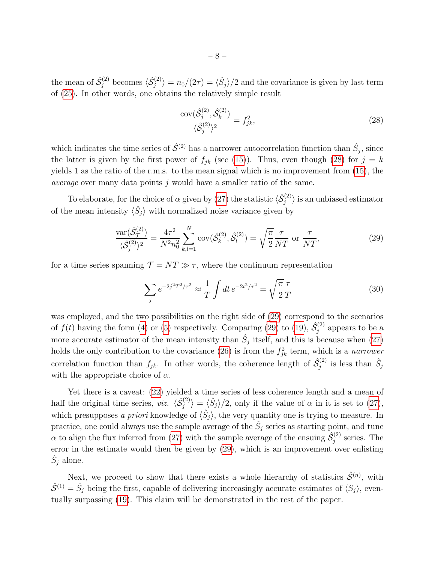the mean of  $\hat{\mathcal{S}}_j^{(2)}$  becomes  $\langle \hat{\mathcal{S}}_j^{(2)} \rangle$  $\langle i^{(2)}_j \rangle = n_0/(2\tau) = \langle \hat{S}_j \rangle/2$  and the covariance is given by last term of [\(25\)](#page-6-3). In other words, one obtains the relatively simple result

<span id="page-7-0"></span>
$$
\frac{\text{cov}(\hat{\mathcal{S}}_{j}^{(2)}, \hat{\mathcal{S}}_{k}^{(2)})}{\langle \hat{\mathcal{S}}_{j}^{(2)} \rangle^{2}} = f_{jk}^{2},\tag{28}
$$

which indicates the time series of  $\hat{\mathcal{S}}^{(2)}$  has a narrower autocorrelation function than  $\hat{S}_j$ , since the latter is given by the first power of  $f_{jk}$  (see [\(15\)](#page-4-0)). Thus, even though [\(28\)](#page-7-0) for  $j = k$ yields 1 as the ratio of the r.m.s. to the mean signal which is no improvement from [\(15\)](#page-4-0), the average over many data points j would have a smaller ratio of the same.

To elaborate, for the choice of  $\alpha$  given by [\(27\)](#page-6-4) the statistic  $\langle \hat{\mathcal{S}}_i^{(2)} \rangle$  $\langle i^{(2)} \rangle$  is an unbiased estimator of the mean intensity  $\langle \hat{S}_j \rangle$  with normalized noise variance given by

<span id="page-7-1"></span>
$$
\frac{\text{var}(\hat{\mathcal{S}}_{\mathcal{T}}^{(2)})}{\langle \hat{\mathcal{S}}_{j}^{(2)}\rangle^{2}} = \frac{4\tau^{2}}{N^{2}n_{0}^{2}}\sum_{k,l=1}^{N}\text{cov}(\hat{\mathcal{S}}_{k}^{(2)},\hat{\mathcal{S}}_{l}^{(2)}) = \sqrt{\frac{\pi}{2}}\frac{\tau}{NT} \text{ or } \frac{\tau}{NT},\tag{29}
$$

for a time series spanning  $\mathcal{T} = NT \gg \tau$ , where the continuum representation

$$
\sum_{j} e^{-2j^{2}T^{2}/\tau^{2}} \approx \frac{1}{T} \int dt \, e^{-2t^{2}/\tau^{2}} = \sqrt{\frac{\pi}{2}} \frac{\tau}{T}
$$
\n(30)

was employed, and the two possibilities on the right side of  $(29)$  correspond to the scenarios of  $f(t)$  having the form [\(4\)](#page-3-0) or [\(5\)](#page-3-1) respectively. Comparing [\(29\)](#page-7-1) to [\(19\)](#page-5-0),  $\hat{\mathcal{S}}_i^{(2)}$  $j^{(2)}$  appears to be a more accurate estimator of the mean intensity than  $\hat{S}_j$  itself, and this is because when [\(27\)](#page-6-4) holds the only contribution to the covariance [\(26\)](#page-6-2) is from the  $f_{jk}^2$  term, which is a narrower correlation function than  $f_{jk}$ . In other words, the coherence length of  $\hat{\mathcal{S}}_i^{(2)}$  $\hat{S}_j^{(2)}$  is less than  $\hat{S}_j$ with the appropriate choice of  $\alpha$ .

Yet there is a caveat: [\(22\)](#page-6-1) yielded a time series of less coherence length and a mean of half the original time series, *viz.*  $\langle \hat{\mathcal{S}}_i^{(2)} \rangle$  $\langle i^{(2)}_j \rangle = \langle \hat{S}_j \rangle /2$ , only if the value of  $\alpha$  in it is set to [\(27\)](#page-6-4), which presupposes a priori knowledge of  $\langle \hat{S}_j \rangle$ , the very quantity one is trying to measure. In practice, one could always use the sample average of the  $\hat{S}_j$  series as starting point, and tune  $\alpha$  to align the flux inferred from [\(27\)](#page-6-4) with the sample average of the ensuing  $\hat{\mathcal{S}}_i^{(2)}$  $j^{(2)}$  series. The error in the estimate would then be given by [\(29\)](#page-7-1), which is an improvement over enlisting  $\hat{S}_j$  alone.

Next, we proceed to show that there exists a whole hierarchy of statistics  $\hat{\mathcal{S}}^{(n)}$ , with  $\hat{S}^{(1)} = \hat{S}_j$  being the first, capable of delivering increasingly accurate estimates of  $\langle S_j \rangle$ , eventually surpassing [\(19\)](#page-5-0). This claim will be demonstrated in the rest of the paper.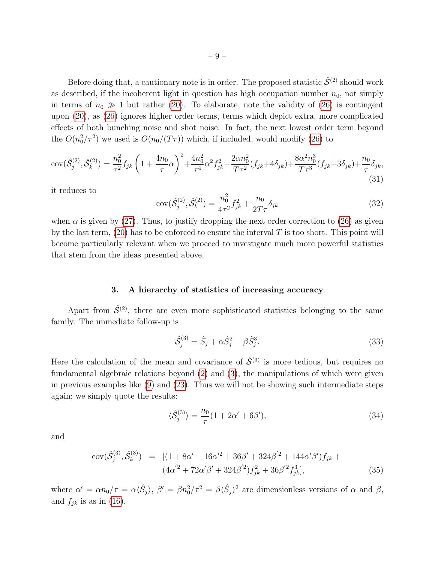Before doing that, a cautionary note is in order. The proposed statistic  $\hat{\mathcal{S}}^{(2)}$  should work as described, if the incoherent light in question has high occupation number  $n_0$ , not simply in terms of  $n_0 \gg 1$  but rather [\(20\)](#page-5-2). To elaborate, note the validity of [\(26\)](#page-6-2) is contingent upon [\(20\)](#page-5-2), as [\(26\)](#page-6-2) ignores higher order terms, terms which depict extra, more complicated effects of both bunching noise and shot noise. In fact, the next lowest order term beyond the  $O(n_0^2/\tau^2)$  we used is  $O(n_0/(T\tau))$  which, if included, would modify [\(26\)](#page-6-2) to

<span id="page-8-0"></span>
$$
cov(\hat{S}_{j}^{(2)}, \hat{S}_{k}^{(2)}) = \frac{n_0^2}{\tau^2} f_{jk} \left( 1 + \frac{4n_0}{\tau} \alpha \right)^2 + \frac{4n_0^2}{\tau^4} \alpha^2 f_{jk}^2 - \frac{2\alpha n_0^2}{T\tau^2} (f_{jk} + 4\delta_{jk}) + \frac{8\alpha^2 n_0^3}{T\tau^3} (f_{jk} + 3\delta_{jk}) + \frac{n_0}{\tau} \delta_{jk},
$$
\n(31)

it reduces to

$$
cov(\hat{S}_j^{(2)}, \hat{S}_k^{(2)}) = \frac{n_0^2}{4\tau^2} f_{jk}^2 + \frac{n_0}{2T\tau} \delta_{jk}
$$
\n(32)

when  $\alpha$  is given by [\(27\)](#page-6-4). Thus, to justify dropping the next order correction to [\(26\)](#page-6-2) as given by the last term,  $(20)$  has to be enforced to ensure the interval T is too short. This point will become particularly relevant when we proceed to investigate much more powerful statistics that stem from the ideas presented above.

### 3. A hierarchy of statistics of increasing accuracy

Apart from  $\hat{\mathcal{S}}^{(2)}$ , there are even more sophisticated statistics belonging to the same family. The immediate follow-up is

$$
\hat{S}_{j}^{(3)} = \hat{S}_{j} + \alpha \hat{S}_{j}^{2} + \beta \hat{S}_{j}^{3}.
$$
\n(33)

Here the calculation of the mean and covariance of  $\hat{\mathcal{S}}^{(3)}$  is more tedious, but requires no fundamental algebraic relations beyond [\(2\)](#page-3-5) and [\(3\)](#page-3-6), the manipulations of which were given in previous examples like [\(9\)](#page-3-3) and [\(23\)](#page-6-5). Thus we will not be showing such intermediate steps again; we simply quote the results:

$$
\langle \hat{\mathcal{S}}_j^{(3)} \rangle = \frac{n_0}{\tau} (1 + 2\alpha' + 6\beta'),\tag{34}
$$

and

$$
cov(\hat{S}_{j}^{(3)}, \hat{S}_{k}^{(3)}) = [(1 + 8\alpha' + 16\alpha'^{2} + 36\beta' + 324\beta'^{2} + 144\alpha'\beta')f_{jk} + (4\alpha'^{2} + 72\alpha'\beta' + 324\beta'^{2})f_{jk}^{2} + 36\beta'^{2}f_{jk}^{3}],
$$
\n(35)

where  $\alpha' = \alpha n_0/\tau = \alpha \langle \hat{S}_j \rangle$ ,  $\beta' = \beta n_0^2/\tau^2 = \beta \langle \hat{S}_j \rangle^2$  are dimensionless versions of  $\alpha$  and  $\beta$ , and  $f_{jk}$  is as in [\(16\)](#page-4-3).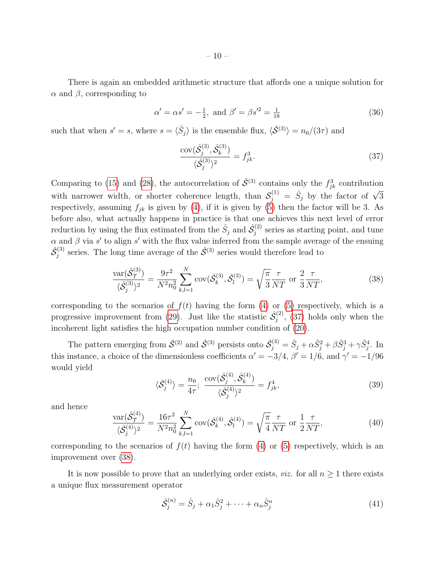There is again an embedded arithmetic structure that affords one a unique solution for  $\alpha$  and  $\beta$ , corresponding to

$$
\alpha' = \alpha s' = -\frac{1}{2}
$$
, and  $\beta' = \beta s'^2 = \frac{1}{18}$  (36)

such that when  $s' = s$ , where  $s = \langle \hat{S}_j \rangle$  is the ensemble flux,  $\langle \hat{S}^{(3)} \rangle = n_0/(3\tau)$  and

<span id="page-9-0"></span>
$$
\frac{\text{cov}(\hat{\mathcal{S}}_j^{(3)}, \hat{\mathcal{S}}_k^{(3)})}{\langle \hat{\mathcal{S}}_j^{(3)} \rangle^2} = f_{jk}^3.
$$
\n(37)

Comparing to [\(15\)](#page-4-0) and [\(28\)](#page-7-0), the autocorrelation of  $\hat{\mathcal{S}}^{(3)}$  contains only the  $f_{jk}^3$  contribution with narrower width, or shorter coherence length, than  $S_j^{(1)} = \hat{S}_j$  by the factor of  $\sqrt{3}$ respectively, assuming  $f_{ik}$  is given by [\(4\)](#page-3-0), if it is given by [\(5\)](#page-3-1) then the factor will be 3. As before also, what actually happens in practice is that one achieves this next level of error reduction by using the flux estimated from the  $\hat{S}_j$  and  $\hat{\mathcal{S}}_i^{(2)}$  $j_j^{(2)}$  series as starting point, and tune  $\alpha$  and  $\beta$  via s' to align s' with the flux value inferred from the sample average of the ensuing  $\hat{\mathcal{S}}_i^{(3)}$  $j_j^{(3)}$  series. The long time average of the  $\hat{\mathcal{S}}^{(3)}$  series would therefore lead to

<span id="page-9-1"></span>
$$
\frac{\text{var}(\hat{\mathcal{S}}^{(3)}_{\mathcal{T}})}{\langle \hat{\mathcal{S}}^{(3)}_{j} \rangle^{2}} = \frac{9\tau^{2}}{N^{2}n_{0}^{2}} \sum_{k,l=1}^{N} \text{cov}(\hat{\mathcal{S}}^{(3)}_{k}, \hat{\mathcal{S}}^{(3)}_{l}) = \sqrt{\frac{\pi}{3}} \frac{\tau}{NT} \text{ or } \frac{2}{3} \frac{\tau}{NT},\tag{38}
$$

corresponding to the scenarios of  $f(t)$  having the form [\(4\)](#page-3-0) or [\(5\)](#page-3-1) respectively, which is a progressive improvement from [\(29\)](#page-7-1). Just like the statistic  $\hat{\mathcal{S}}_i^{(2)}$  $j^{(2)}$ , [\(37\)](#page-9-0) holds only when the incoherent light satisfies the high occupation number condition of [\(20\)](#page-5-2).

The pattern emerging from  $\hat{S}^{(2)}$  and  $\hat{S}^{(3)}$  persists onto  $\hat{S}^{(4)}_j = \hat{S}_j + \alpha \hat{S}_j^2 + \beta \hat{S}_j^3 + \gamma \hat{S}_j^4$ . In this instance, a choice of the dimensionless coefficients  $\alpha' = -3/4$ ,  $\beta' = 1/6$ , and  $\gamma' = -1/96$ would yield

<span id="page-9-2"></span>
$$
\langle \hat{\mathcal{S}}_j^{(4)} \rangle = \frac{n_0}{4\tau}; \ \frac{\text{cov}(\hat{\mathcal{S}}_j^{(4)}, \hat{\mathcal{S}}_k^{(4)})}{\langle \hat{\mathcal{S}}_j^{(4)} \rangle^2} = f_{jk}^4,\tag{39}
$$

and hence

<span id="page-9-4"></span>
$$
\frac{\text{var}(\hat{\mathcal{S}}_{\mathcal{T}}^{(4)})}{\langle \hat{\mathcal{S}}_{j}^{(4)}\rangle^{2}} = \frac{16\tau^{2}}{N^{2}n_{0}^{2}}\sum_{k,l=1}^{N} \text{cov}(\hat{\mathcal{S}}_{k}^{(4)},\hat{\mathcal{S}}_{l}^{(4)}) = \sqrt{\frac{\pi}{4}}\frac{\tau}{NT} \text{ or } \frac{1}{2}\frac{\tau}{NT},\tag{40}
$$

corresponding to the scenarios of  $f(t)$  having the form [\(4\)](#page-3-0) or [\(5\)](#page-3-1) respectively, which is an improvement over [\(38\)](#page-9-1).

It is now possible to prove that an underlying order exists, *viz*. for all  $n \geq 1$  there exists a unique flux measurement operator

<span id="page-9-3"></span>
$$
\hat{\mathcal{S}}_j^{(n)} = \hat{S}_j + \alpha_1 \hat{S}_j^2 + \dots + \alpha_n \hat{S}_j^n \tag{41}
$$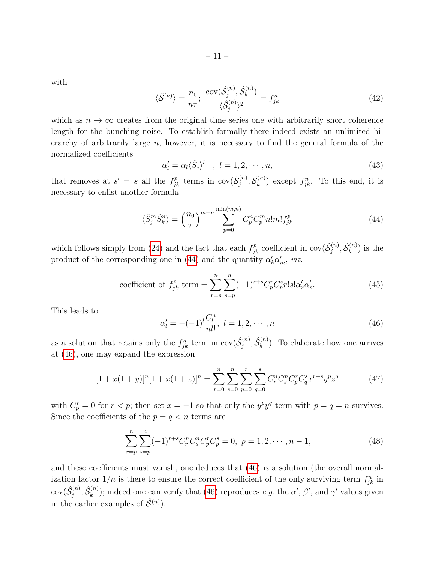with

$$
\langle \hat{\mathcal{S}}^{(n)} \rangle = \frac{n_0}{n\tau}; \ \frac{\text{cov}(\hat{\mathcal{S}}_j^{(n)}, \hat{\mathcal{S}}_k^{(n)})}{\langle \hat{\mathcal{S}}_j^{(n)} \rangle^2} = f_{jk}^n \tag{42}
$$

which as  $n \to \infty$  creates from the original time series one with arbitrarily short coherence length for the bunching noise. To establish formally there indeed exists an unlimited hierarchy of arbitrarily large  $n$ , however, it is necessary to find the general formula of the normalized coefficients

<span id="page-10-2"></span>
$$
\alpha'_{l} = \alpha_{l} \langle \hat{S}_{j} \rangle^{l-1}, \ l = 1, 2, \cdots, n,
$$
\n(43)

that removes at  $s' = s$  all the  $f_{jk}^p$  terms in  $cov(\hat{S}_j^{(n)})$  $\hat{\mathcal{S}}^{(n)}_k, \hat{\mathcal{S}}^{(n)}_k$  $\binom{n(n)}{k}$  except  $f_{jk}^n$ . To this end, it is necessary to enlist another formula

<span id="page-10-0"></span>
$$
\langle \hat{S}_j^m \hat{S}_k^n \rangle = \left(\frac{n_0}{\tau}\right)^{m+n} \sum_{p=0}^{\min(m,n)} C_p^n C_p^m n! m! f_{jk}^p \tag{44}
$$

which follows simply from [\(24\)](#page-6-0) and the fact that each  $f_{jk}^p$  coefficient in  $cov(\hat{S}_j^{(n)})$  $\hat{\mathcal{S}}^{(n)}_k, \hat{\mathcal{S}}^{(n)}_k$  $\binom{n}{k}$  is the product of the corresponding one in [\(44\)](#page-10-0) and the quantity  $\alpha'_k \alpha'_m$ , *viz.* 

coefficient of 
$$
f_{jk}^p
$$
 term = 
$$
\sum_{r=p}^{n} \sum_{s=p}^{n} (-1)^{r+s} C_p^r C_p^s r! s! \alpha'_r \alpha'_s.
$$
 (45)

This leads to

<span id="page-10-1"></span>
$$
\alpha'_{l} = -(-1)^{l} \frac{C_{l}^{n}}{n!}, \ l = 1, 2, \cdots, n
$$
\n(46)

as a solution that retains only the  $f_{jk}^n$  term in  $cov(\hat{S}_j^{(n)})$  $\hat{\mathcal{S}}^{(n)}_k, \hat{\mathcal{S}}^{(n)}_k$  $\binom{n}{k}$ . To elaborate how one arrives at [\(46\)](#page-10-1), one may expand the expression

$$
[1+x(1+y)]n[1+x(1+z)]n = \sum_{r=0}^{n} \sum_{s=0}^{n} \sum_{p=0}^{r} \sum_{q=0}^{s} Crn Csn Cpr Cqs xr+s yp zq
$$
 (47)

with  $C_p^r = 0$  for  $r < p$ ; then set  $x = -1$  so that only the  $y^p y^q$  term with  $p = q = n$  survives. Since the coefficients of the  $p = q \lt n$  terms are

$$
\sum_{r=p}^{n} \sum_{s=p}^{n} (-1)^{r+s} C_r^n C_s^n C_p^r C_p^s = 0, \ p = 1, 2, \cdots, n-1,
$$
\n(48)

and these coefficients must vanish, one deduces that [\(46\)](#page-10-1) is a solution (the overall normalization factor  $1/n$  is there to ensure the correct coefficient of the only surviving term  $f_{jk}^n$  in  ${\rm cov}(\hat{\mathcal{S}}_i^{(n)}$  $\hat{\mathcal{S}}^{(n)}_k, \hat{\mathcal{S}}^{(n)}_k$ (n)); indeed one can verify that [\(46\)](#page-10-1) reproduces e.g. the  $\alpha'$ ,  $\beta'$ , and  $\gamma'$  values given in the earlier examples of  $\hat{\mathcal{S}}^{(n)}$ .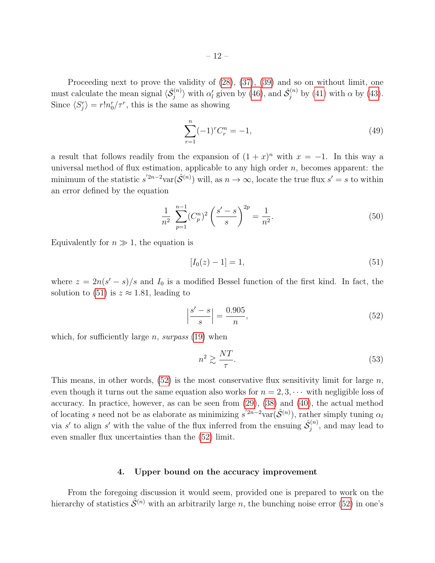Proceeding next to prove the validity of [\(28\)](#page-7-0), [\(37\)](#page-9-0), [\(39\)](#page-9-2) and so on without limit, one must calculate the mean signal  $\langle \hat{\mathcal{S}}_i^{(n)} \rangle$  $\langle i^{(n)}\rangle$  with  $\alpha'_{l}$  given by [\(46\)](#page-10-1), and  $\hat{\mathcal{S}}_{j}^{(n)}$  by [\(41\)](#page-9-3) with  $\alpha$  by [\(43\)](#page-10-2). Since  $\langle S_j^r \rangle = r! n_0^r / \tau^r$ , this is the same as showing

$$
\sum_{r=1}^{n} (-1)^r C_r^n = -1,\tag{49}
$$

a result that follows readily from the expansion of  $(1+x)^n$  with  $x = -1$ . In this way a universal method of flux estimation, applicable to any high order  $n$ , becomes apparent: the minimum of the statistic  $s^{2n-2} \text{var}(\hat{S}^{(n)})$  will, as  $n \to \infty$ , locate the true flux  $s' = s$  to within an error defined by the equation

$$
\frac{1}{n^2} \sum_{p=1}^{n-1} (C_p^n)^2 \left(\frac{s'-s}{s}\right)^{2p} = \frac{1}{n^2}.
$$
\n(50)

Equivalently for  $n \gg 1$ , the equation is

<span id="page-11-0"></span>
$$
[I_0(z) - 1] = 1,\t\t(51)
$$

where  $z = 2n(s'-s)/s$  and  $I_0$  is a modified Bessel function of the first kind. In fact, the solution to [\(51\)](#page-11-0) is  $z \approx 1.81$ , leading to

<span id="page-11-1"></span>
$$
\left|\frac{s'-s}{s}\right| = \frac{0.905}{n},\tag{52}
$$

which, for sufficiently large *n*, surpass  $(19)$  when

<span id="page-11-2"></span>
$$
n^2 \gtrsim \frac{NT}{\tau}.\tag{53}
$$

This means, in other words,  $(52)$  is the most conservative flux sensitivity limit for large n, even though it turns out the same equation also works for  $n = 2, 3, \cdots$  with negligible loss of accuracy. In practice, however, as can be seen from [\(29\)](#page-7-1), [\(38\)](#page-9-1) and [\(40\)](#page-9-4), the actual method of locating s need not be as elaborate as minimizing  $s^{'2n-2}var(\hat{S}^{(n)})$ , rather simply tuning  $\alpha_l$ via s' to align s' with the value of the flux inferred from the ensuing  $\hat{\mathcal{S}}_i^{(n)}$  $j^{(n)}$ , and may lead to even smaller flux uncertainties than the [\(52\)](#page-11-1) limit.

#### 4. Upper bound on the accuracy improvement

From the foregoing discussion it would seem, provided one is prepared to work on the hierarchy of statistics  $\hat{\mathcal{S}}^{(n)}$  with an arbitrarily large n, the bunching noise error [\(52\)](#page-11-1) in one's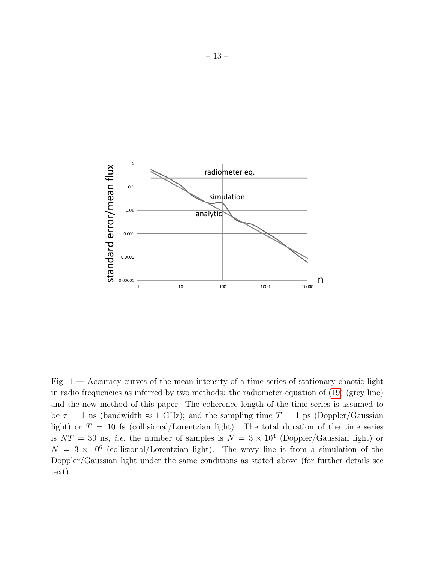

Fig. 1.— Accuracy curves of the mean intensity of a time series of stationary chaotic light in radio frequencies as inferred by two methods: the radiometer equation of [\(19\)](#page-5-0) (grey line) and the new method of this paper. The coherence length of the time series is assumed to be  $\tau = 1$  ns (bandwidth  $\approx 1$  GHz); and the sampling time  $T = 1$  ps (Doppler/Gaussian light) or  $T = 10$  fs (collisional/Lorentzian light). The total duration of the time series is  $NT = 30$  ns, *i.e.* the number of samples is  $N = 3 \times 10^4$  (Doppler/Gaussian light) or  $N = 3 \times 10^6$  (collisional/Lorentzian light). The wavy line is from a simulation of the Doppler/Gaussian light under the same conditions as stated above (for further details see text).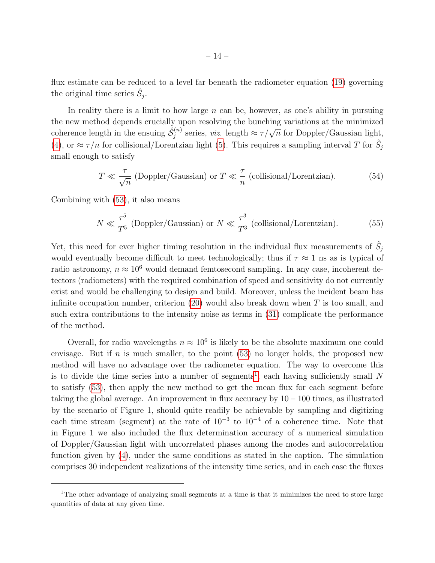flux estimate can be reduced to a level far beneath the radiometer equation [\(19\)](#page-5-0) governing the original time series  $\hat{S}_j$ .

In reality there is a limit to how large  $n$  can be, however, as one's ability in pursuing the new method depends crucially upon resolving the bunching variations at the minimized coherence length in the ensuing  $\hat{\mathcal{S}}_i^{(n)}$ pon resorving the bunding variations at the imminized  $\binom{n}{j}$  series, *viz.* length  $\approx \tau/\sqrt{n}$  for Doppler/Gaussian light, [\(4\)](#page-3-0), or  $\approx \tau/n$  for collisional/Lorentzian light [\(5\)](#page-3-1). This requires a sampling interval T for  $\hat{S}_j$ small enough to satisfy

$$
T \ll \frac{\tau}{\sqrt{n}} \text{ (Doppler/Gaussian) or } T \ll \frac{\tau}{n} \text{ (collisional/Lorentzian).}
$$
 (54)

Combining with [\(53\)](#page-11-2), it also means

$$
N \ll \frac{\tau^5}{T^5} \text{ (Doppler/Gaussian) or } N \ll \frac{\tau^3}{T^3} \text{ (collisional/Lorentzian).}
$$
 (55)

Yet, this need for ever higher timing resolution in the individual flux measurements of  $\hat{S}_j$ would eventually become difficult to meet technologically; thus if  $\tau \approx 1$  ns as is typical of radio astronomy,  $n \approx 10^6$  would demand femtosecond sampling. In any case, incoherent detectors (radiometers) with the required combination of speed and sensitivity do not currently exist and would be challenging to design and build. Moreover, unless the incident beam has infinite occupation number, criterion  $(20)$  would also break down when T is too small, and such extra contributions to the intensity noise as terms in [\(31\)](#page-8-0) complicate the performance of the method.

Overall, for radio wavelengths  $n \approx 10^6$  is likely to be the absolute maximum one could envisage. But if  $n$  is much smaller, to the point  $(53)$  no longer holds, the proposed new method will have no advantage over the radiometer equation. The way to overcome this is to divide the time series into a number of segments<sup>[1](#page-13-0)</sup>, each having sufficiently small N to satisfy [\(53\)](#page-11-2), then apply the new method to get the mean flux for each segment before taking the global average. An improvement in flux accuracy by  $10 - 100$  times, as illustrated by the scenario of Figure 1, should quite readily be achievable by sampling and digitizing each time stream (segment) at the rate of  $10^{-3}$  to  $10^{-4}$  of a coherence time. Note that in Figure 1 we also included the flux determination accuracy of a numerical simulation of Doppler/Gaussian light with uncorrelated phases among the modes and autocorrelation function given by [\(4\)](#page-3-0), under the same conditions as stated in the caption. The simulation comprises 30 independent realizations of the intensity time series, and in each case the fluxes

<span id="page-13-0"></span><sup>&</sup>lt;sup>1</sup>The other advantage of analyzing small segments at a time is that it minimizes the need to store large quantities of data at any given time.